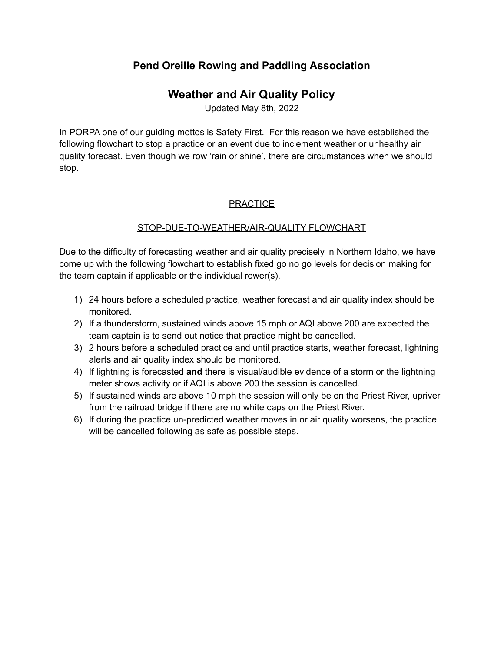### **Pend Oreille Rowing and Paddling Association**

## **Weather and Air Quality Policy**

Updated May 8th, 2022

In PORPA one of our guiding mottos is Safety First. For this reason we have established the following flowchart to stop a practice or an event due to inclement weather or unhealthy air quality forecast. Even though we row 'rain or shine', there are circumstances when we should stop.

#### **PRACTICE**

#### STOP-DUE-TO-WEATHER/AIR-QUALITY FLOWCHART

Due to the difficulty of forecasting weather and air quality precisely in Northern Idaho, we have come up with the following flowchart to establish fixed go no go levels for decision making for the team captain if applicable or the individual rower(s).

- 1) 24 hours before a scheduled practice, weather forecast and air quality index should be monitored.
- 2) If a thunderstorm, sustained winds above 15 mph or AQI above 200 are expected the team captain is to send out notice that practice might be cancelled.
- 3) 2 hours before a scheduled practice and until practice starts, weather forecast, lightning alerts and air quality index should be monitored.
- 4) If lightning is forecasted **and** there is visual/audible evidence of a storm or the lightning meter shows activity or if AQI is above 200 the session is cancelled.
- 5) If sustained winds are above 10 mph the session will only be on the Priest River, upriver from the railroad bridge if there are no white caps on the Priest River.
- 6) If during the practice un-predicted weather moves in or air quality worsens, the practice will be cancelled following as safe as possible steps.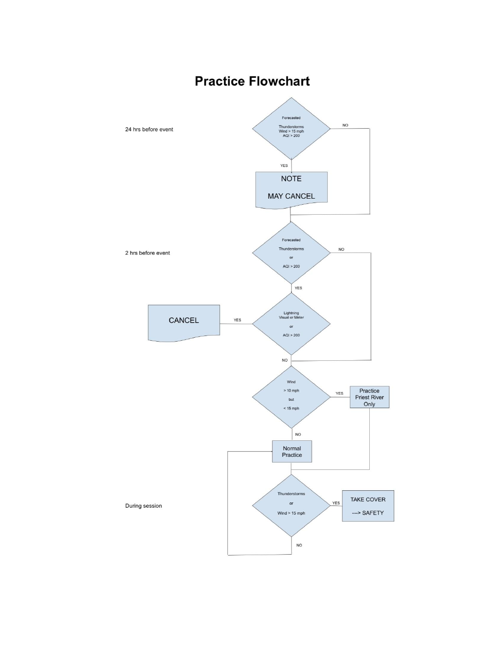# **Practice Flowchart**

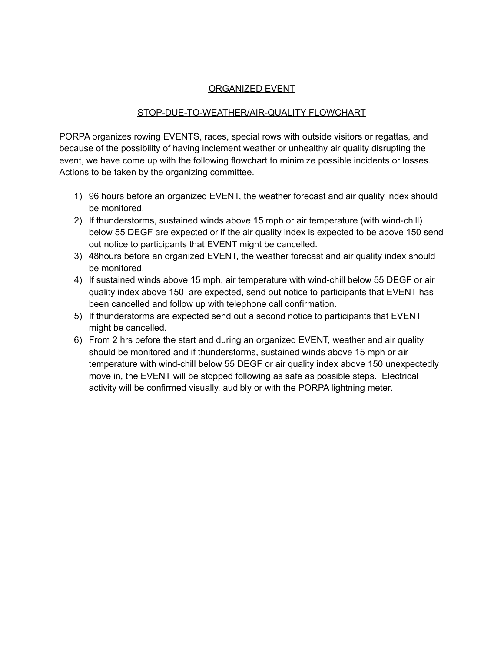#### ORGANIZED EVENT

#### STOP-DUE-TO-WEATHER/AIR-QUALITY FLOWCHART

PORPA organizes rowing EVENTS, races, special rows with outside visitors or regattas, and because of the possibility of having inclement weather or unhealthy air quality disrupting the event, we have come up with the following flowchart to minimize possible incidents or losses. Actions to be taken by the organizing committee.

- 1) 96 hours before an organized EVENT, the weather forecast and air quality index should be monitored.
- 2) If thunderstorms, sustained winds above 15 mph or air temperature (with wind-chill) below 55 DEGF are expected or if the air quality index is expected to be above 150 send out notice to participants that EVENT might be cancelled.
- 3) 48hours before an organized EVENT, the weather forecast and air quality index should be monitored.
- 4) If sustained winds above 15 mph, air temperature with wind-chill below 55 DEGF or air quality index above 150 are expected, send out notice to participants that EVENT has been cancelled and follow up with telephone call confirmation.
- 5) If thunderstorms are expected send out a second notice to participants that EVENT might be cancelled.
- 6) From 2 hrs before the start and during an organized EVENT, weather and air quality should be monitored and if thunderstorms, sustained winds above 15 mph or air temperature with wind-chill below 55 DEGF or air quality index above 150 unexpectedly move in, the EVENT will be stopped following as safe as possible steps. Electrical activity will be confirmed visually, audibly or with the PORPA lightning meter.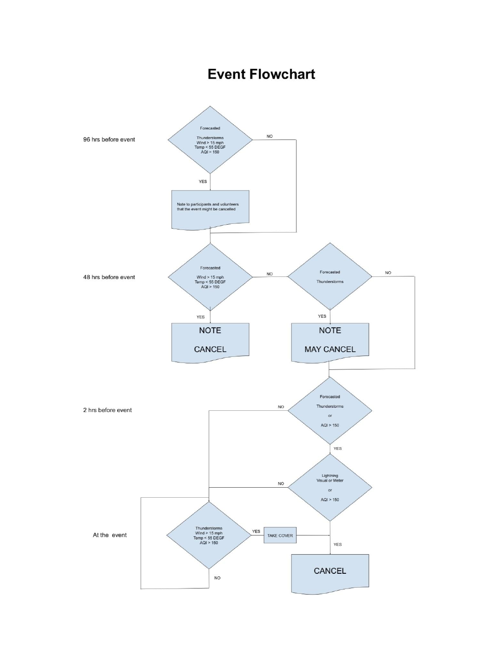# **Event Flowchart**